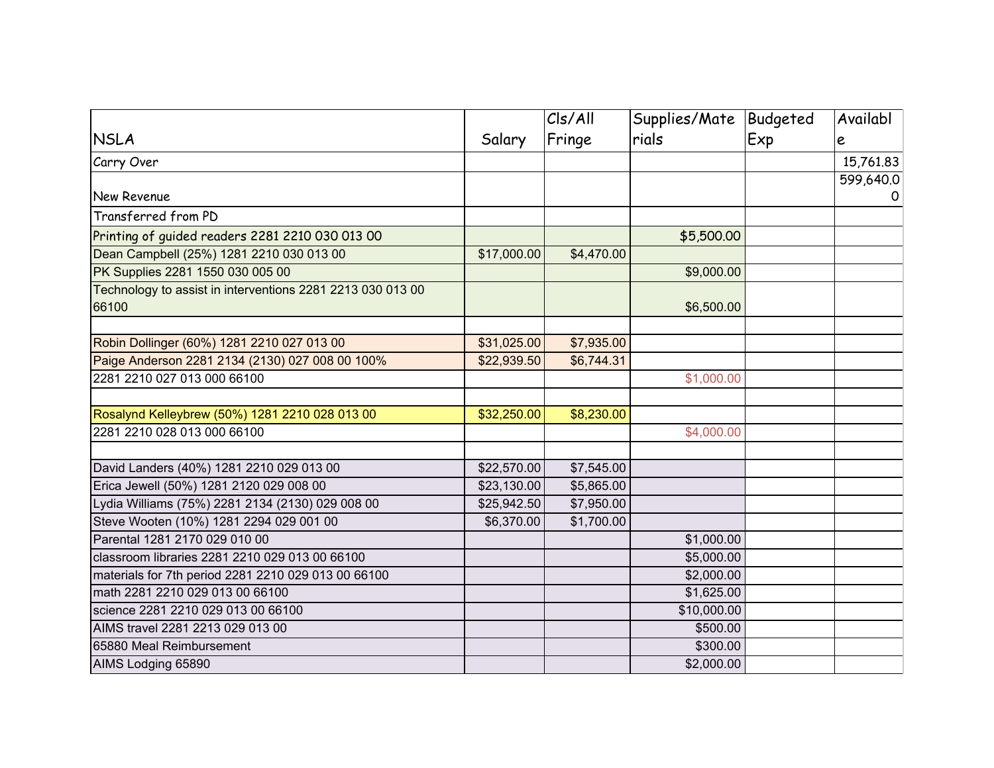| <b>NSLA</b>                                                | Salary      | C s/Al <br>Fringe | Supplies/Mate   Budgeted<br>rials | Exp | Availabl<br>e |
|------------------------------------------------------------|-------------|-------------------|-----------------------------------|-----|---------------|
|                                                            |             |                   |                                   |     |               |
|                                                            |             |                   |                                   |     | 599,640.0     |
| <b>New Revenue</b>                                         |             |                   |                                   |     | 0             |
| Transferred from PD                                        |             |                   |                                   |     |               |
| Printing of guided readers 2281 2210 030 013 00            |             |                   | \$5,500.00                        |     |               |
| Dean Campbell (25%) 1281 2210 030 013 00                   | \$17,000.00 | \$4,470.00        |                                   |     |               |
| PK Supplies 2281 1550 030 005 00                           |             |                   | \$9,000.00                        |     |               |
| Technology to assist in interventions 2281 2213 030 013 00 |             |                   |                                   |     |               |
| 66100                                                      |             |                   | \$6,500.00                        |     |               |
|                                                            |             |                   |                                   |     |               |
| Robin Dollinger (60%) 1281 2210 027 013 00                 | \$31,025.00 | \$7,935.00        |                                   |     |               |
| Paige Anderson 2281 2134 (2130) 027 008 00 100%            | \$22,939.50 | \$6,744.31        |                                   |     |               |
| 2281 2210 027 013 000 66100                                |             |                   | \$1,000.00                        |     |               |
| Rosalynd Kelleybrew (50%) 1281 2210 028 013 00             | \$32,250.00 | \$8,230.00        |                                   |     |               |
| 2281 2210 028 013 000 66100                                |             |                   | \$4,000.00                        |     |               |
|                                                            |             |                   |                                   |     |               |
| David Landers (40%) 1281 2210 029 013 00                   | \$22,570.00 | \$7,545.00        |                                   |     |               |
| Erica Jewell (50%) 1281 2120 029 008 00                    | \$23,130.00 | \$5,865.00        |                                   |     |               |
| Lydia Williams (75%) 2281 2134 (2130) 029 008 00           | \$25,942.50 | \$7,950.00        |                                   |     |               |
| Steve Wooten (10%) 1281 2294 029 001 00                    | \$6,370.00  | \$1,700.00        |                                   |     |               |
| Parental 1281 2170 029 010 00                              |             |                   | \$1,000.00                        |     |               |
| classroom libraries 2281 2210 029 013 00 66100             |             |                   | \$5,000.00                        |     |               |
| materials for 7th period 2281 2210 029 013 00 66100        |             |                   | \$2,000.00                        |     |               |
| math 2281 2210 029 013 00 66100                            |             |                   | \$1,625.00                        |     |               |
| science 2281 2210 029 013 00 66100                         |             |                   | \$10,000.00                       |     |               |
| AIMS travel 2281 2213 029 013 00                           |             |                   | \$500.00                          |     |               |
| 65880 Meal Reimbursement                                   |             |                   | \$300.00                          |     |               |
| AIMS Lodging 65890                                         |             |                   | \$2,000.00                        |     |               |